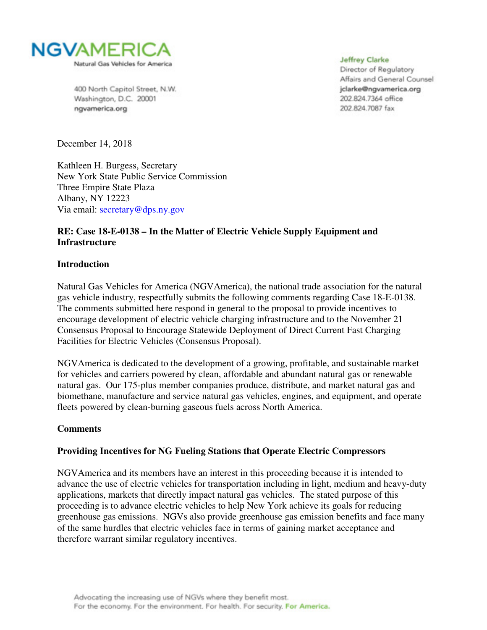

400 North Capitol Street, N.W. Washington, D.C. 20001 ngvamerica.org

**Jeffrey Clarke** 

Director of Regulatory Affairs and General Counsel jclarke@ngvamerica.org 202.824.7364 office 202 824 7087 fax

December 14, 2018

Kathleen H. Burgess, Secretary New York State Public Service Commission Three Empire State Plaza Albany, NY 12223 Via email: secretary@dps.ny.gov

# **RE: Case 18-E-0138 – In the Matter of Electric Vehicle Supply Equipment and Infrastructure**

#### **Introduction**

Natural Gas Vehicles for America (NGVAmerica), the national trade association for the natural gas vehicle industry, respectfully submits the following comments regarding Case 18-E-0138. The comments submitted here respond in general to the proposal to provide incentives to encourage development of electric vehicle charging infrastructure and to the November 21 Consensus Proposal to Encourage Statewide Deployment of Direct Current Fast Charging Facilities for Electric Vehicles (Consensus Proposal).

NGVAmerica is dedicated to the development of a growing, profitable, and sustainable market for vehicles and carriers powered by clean, affordable and abundant natural gas or renewable natural gas. Our 175-plus member companies produce, distribute, and market natural gas and biomethane, manufacture and service natural gas vehicles, engines, and equipment, and operate fleets powered by clean-burning gaseous fuels across North America.

#### **Comments**

#### **Providing Incentives for NG Fueling Stations that Operate Electric Compressors**

NGVAmerica and its members have an interest in this proceeding because it is intended to advance the use of electric vehicles for transportation including in light, medium and heavy-duty applications, markets that directly impact natural gas vehicles. The stated purpose of this proceeding is to advance electric vehicles to help New York achieve its goals for reducing greenhouse gas emissions. NGVs also provide greenhouse gas emission benefits and face many of the same hurdles that electric vehicles face in terms of gaining market acceptance and therefore warrant similar regulatory incentives.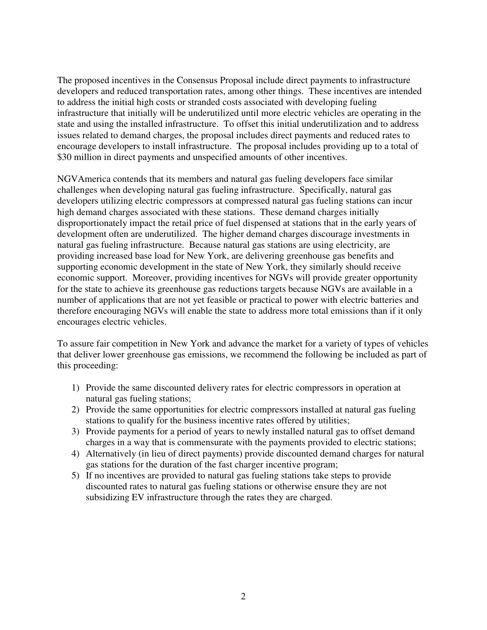The proposed incentives in the Consensus Proposal include direct payments to infrastructure developers and reduced transportation rates, among other things. These incentives are intended to address the initial high costs or stranded costs associated with developing fueling infrastructure that initially will be underutilized until more electric vehicles are operating in the state and using the installed infrastructure. To offset this initial underutilization and to address issues related to demand charges, the proposal includes direct payments and reduced rates to encourage developers to install infrastructure. The proposal includes providing up to a total of \$30 million in direct payments and unspecified amounts of other incentives.

NGVAmerica contends that its members and natural gas fueling developers face similar challenges when developing natural gas fueling infrastructure. Specifically, natural gas developers utilizing electric compressors at compressed natural gas fueling stations can incur high demand charges associated with these stations. These demand charges initially disproportionately impact the retail price of fuel dispensed at stations that in the early years of development often are underutilized. The higher demand charges discourage investments in natural gas fueling infrastructure. Because natural gas stations are using electricity, are providing increased base load for New York, are delivering greenhouse gas benefits and supporting economic development in the state of New York, they similarly should receive economic support. Moreover, providing incentives for NGVs will provide greater opportunity for the state to achieve its greenhouse gas reductions targets because NGVs are available in a number of applications that are not yet feasible or practical to power with electric batteries and therefore encouraging NGVs will enable the state to address more total emissions than if it only encourages electric vehicles.

To assure fair competition in New York and advance the market for a variety of types of vehicles that deliver lower greenhouse gas emissions, we recommend the following be included as part of this proceeding:

- 1) Provide the same discounted delivery rates for electric compressors in operation at natural gas fueling stations;
- 2) Provide the same opportunities for electric compressors installed at natural gas fueling stations to qualify for the business incentive rates offered by utilities;
- 3) Provide payments for a period of years to newly installed natural gas to offset demand charges in a way that is commensurate with the payments provided to electric stations;
- 4) Alternatively (in lieu of direct payments) provide discounted demand charges for natural gas stations for the duration of the fast charger incentive program;
- 5) If no incentives are provided to natural gas fueling stations take steps to provide discounted rates to natural gas fueling stations or otherwise ensure they are not subsidizing EV infrastructure through the rates they are charged.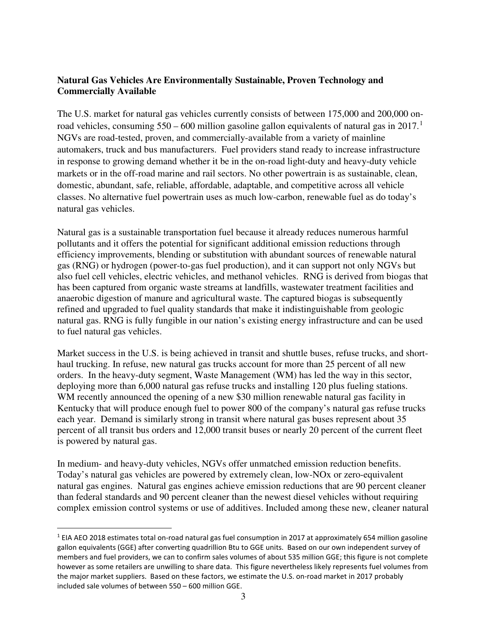## **Natural Gas Vehicles Are Environmentally Sustainable, Proven Technology and Commercially Available**

The U.S. market for natural gas vehicles currently consists of between 175,000 and 200,000 onroad vehicles, consuming  $550 - 600$  million gasoline gallon equivalents of natural gas in  $2017$  $2017$  $2017$ .<sup>1</sup> NGVs are road-tested, proven, and commercially-available from a variety of mainline automakers, truck and bus manufacturers. Fuel providers stand ready to increase infrastructure in response to growing demand whether it be in the on-road light-duty and heavy-duty vehicle markets or in the off-road marine and rail sectors. No other powertrain is as sustainable, clean, domestic, abundant, safe, reliable, affordable, adaptable, and competitive across all vehicle classes. No alternative fuel powertrain uses as much low-carbon, renewable fuel as do today's natural gas vehicles.

Natural gas is a sustainable transportation fuel because it already reduces numerous harmful pollutants and it offers the potential for significant additional emission reductions through efficiency improvements, blending or substitution with abundant sources of renewable natural gas (RNG) or hydrogen (power-to-gas fuel production), and it can support not only NGVs but also fuel cell vehicles, electric vehicles, and methanol vehicles. RNG is derived from biogas that has been captured from organic waste streams at landfills, wastewater treatment facilities and anaerobic digestion of manure and agricultural waste. The captured biogas is subsequently refined and upgraded to fuel quality standards that make it indistinguishable from geologic natural gas. RNG is fully fungible in our nation's existing energy infrastructure and can be used to fuel natural gas vehicles.

Market success in the U.S. is being achieved in transit and shuttle buses, refuse trucks, and shorthaul trucking. In refuse, new natural gas trucks account for more than 25 percent of all new orders. In the heavy-duty segment, Waste Management (WM) has led the way in this sector, deploying more than 6,000 natural gas refuse trucks and installing 120 plus fueling stations. WM recently announced the opening of a new \$30 million renewable natural gas facility in Kentucky that will produce enough fuel to power 800 of the company's natural gas refuse trucks each year. Demand is similarly strong in transit where natural gas buses represent about 35 percent of all transit bus orders and 12,000 transit buses or nearly 20 percent of the current fleet is powered by natural gas.

In medium- and heavy-duty vehicles, NGVs offer unmatched emission reduction benefits. Today's natural gas vehicles are powered by extremely clean, low-NOx or zero-equivalent natural gas engines. Natural gas engines achieve emission reductions that are 90 percent cleaner than federal standards and 90 percent cleaner than the newest diesel vehicles without requiring complex emission control systems or use of additives. Included among these new, cleaner natural

 $\overline{a}$ 

<span id="page-2-0"></span><sup>&</sup>lt;sup>1</sup> EIA AEO 2018 estimates total on-road natural gas fuel consumption in 2017 at approximately 654 million gasoline gallon equivalents (GGE) after converting quadrillion Btu to GGE units. Based on our own independent survey of members and fuel providers, we can to confirm sales volumes of about 535 million GGE; this figure is not complete however as some retailers are unwilling to share data. This figure nevertheless likely represents fuel volumes from the major market suppliers. Based on these factors, we estimate the U.S. on-road market in 2017 probably included sale volumes of between 550 – 600 million GGE.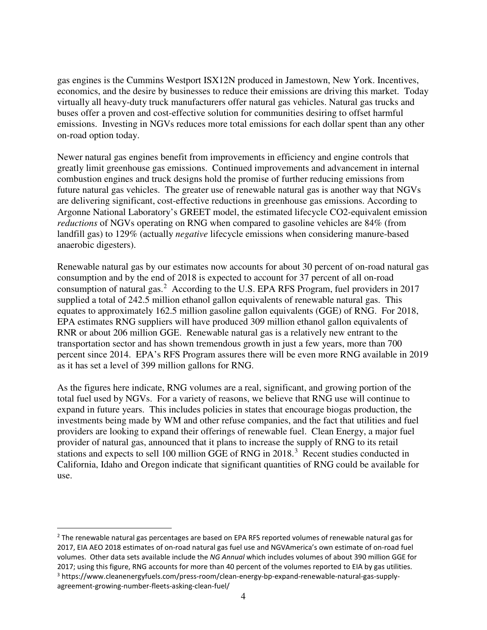gas engines is the Cummins Westport ISX12N produced in Jamestown, New York. Incentives, economics, and the desire by businesses to reduce their emissions are driving this market. Today virtually all heavy-duty truck manufacturers offer natural gas vehicles. Natural gas trucks and buses offer a proven and cost-effective solution for communities desiring to offset harmful emissions. Investing in NGVs reduces more total emissions for each dollar spent than any other on-road option today.

Newer natural gas engines benefit from improvements in efficiency and engine controls that greatly limit greenhouse gas emissions. Continued improvements and advancement in internal combustion engines and truck designs hold the promise of further reducing emissions from future natural gas vehicles. The greater use of renewable natural gas is another way that NGVs are delivering significant, cost-effective reductions in greenhouse gas emissions. According to Argonne National Laboratory's GREET model, the estimated lifecycle CO2-equivalent emission *reductions* of NGVs operating on RNG when compared to gasoline vehicles are 84% (from landfill gas) to 129% (actually *negative* lifecycle emissions when considering manure-based anaerobic digesters).

Renewable natural gas by our estimates now accounts for about 30 percent of on-road natural gas consumption and by the end of 2018 is expected to account for 37 percent of all on-road consumption of natural gas.<sup>[2](#page-3-0)</sup> According to the U.S. EPA RFS Program, fuel providers in 2017 supplied a total of 242.5 million ethanol gallon equivalents of renewable natural gas. This equates to approximately 162.5 million gasoline gallon equivalents (GGE) of RNG. For 2018, EPA estimates RNG suppliers will have produced 309 million ethanol gallon equivalents of RNR or about 206 million GGE. Renewable natural gas is a relatively new entrant to the transportation sector and has shown tremendous growth in just a few years, more than 700 percent since 2014. EPA's RFS Program assures there will be even more RNG available in 2019 as it has set a level of 399 million gallons for RNG.

As the figures here indicate, RNG volumes are a real, significant, and growing portion of the total fuel used by NGVs. For a variety of reasons, we believe that RNG use will continue to expand in future years. This includes policies in states that encourage biogas production, the investments being made by WM and other refuse companies, and the fact that utilities and fuel providers are looking to expand their offerings of renewable fuel. Clean Energy, a major fuel provider of natural gas, announced that it plans to increase the supply of RNG to its retail stations and expects to sell 100 million GGE of RNG in 2018.<sup>[3](#page-3-1)</sup> Recent studies conducted in California, Idaho and Oregon indicate that significant quantities of RNG could be available for use.

<span id="page-3-1"></span><span id="page-3-0"></span><sup>&</sup>lt;u>.</u> <sup>2</sup> The renewable natural gas percentages are based on EPA RFS reported volumes of renewable natural gas for 2017, EIA AEO 2018 estimates of on-road natural gas fuel use and NGVAmerica's own estimate of on-road fuel volumes. Other data sets available include the *NG Annual* which includes volumes of about 390 million GGE for 2017; using this figure, RNG accounts for more than 40 percent of the volumes reported to EIA by gas utilities. <sup>3</sup> https://www.cleanenergyfuels.com/press-room/clean-energy-bp-expand-renewable-natural-gas-supplyagreement-growing-number-fleets-asking-clean-fuel/